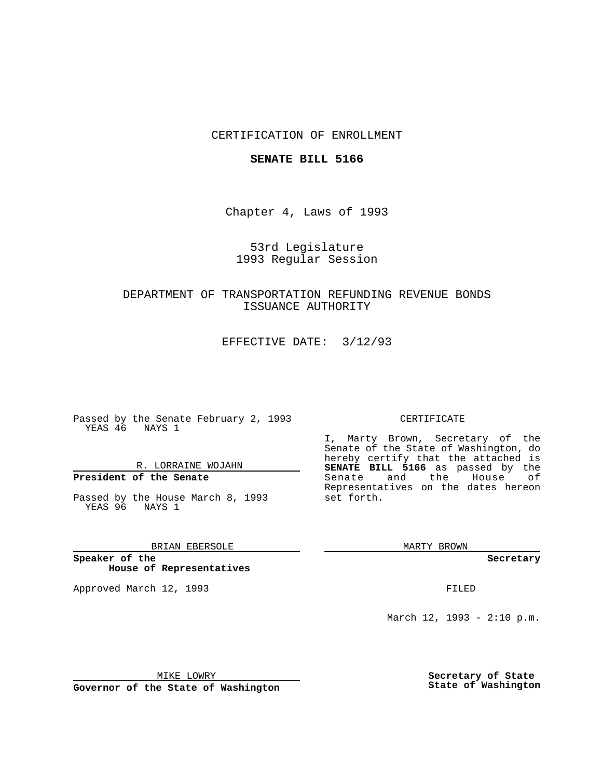## CERTIFICATION OF ENROLLMENT

#### **SENATE BILL 5166**

Chapter 4, Laws of 1993

## 53rd Legislature 1993 Regular Session

## DEPARTMENT OF TRANSPORTATION REFUNDING REVENUE BONDS ISSUANCE AUTHORITY

EFFECTIVE DATE: 3/12/93

Passed by the Senate February 2, 1993 YEAS 46 NAYS 1

## R. LORRAINE WOJAHN

# **President of the Senate**

Passed by the House March 8, 1993 YEAS 96 NAYS 1

## BRIAN EBERSOLE

**Speaker of the House of Representatives**

Approved March 12, 1993 **FILED** 

#### CERTIFICATE

I, Marty Brown, Secretary of the Senate of the State of Washington, do hereby certify that the attached is **SENATE BILL 5166** as passed by the Senate and the House of Representatives on the dates hereon set forth.

MARTY BROWN

**Secretary**

March 12, 1993 - 2:10 p.m.

MIKE LOWRY

**Governor of the State of Washington**

**Secretary of State State of Washington**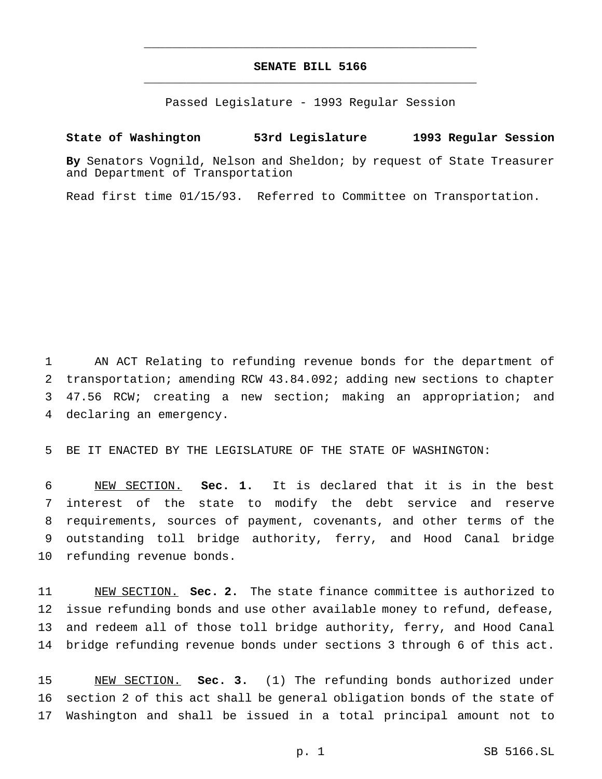## **SENATE BILL 5166** \_\_\_\_\_\_\_\_\_\_\_\_\_\_\_\_\_\_\_\_\_\_\_\_\_\_\_\_\_\_\_\_\_\_\_\_\_\_\_\_\_\_\_\_\_\_\_

\_\_\_\_\_\_\_\_\_\_\_\_\_\_\_\_\_\_\_\_\_\_\_\_\_\_\_\_\_\_\_\_\_\_\_\_\_\_\_\_\_\_\_\_\_\_\_

Passed Legislature - 1993 Regular Session

### **State of Washington 53rd Legislature 1993 Regular Session**

**By** Senators Vognild, Nelson and Sheldon; by request of State Treasurer and Department of Transportation

Read first time 01/15/93. Referred to Committee on Transportation.

 AN ACT Relating to refunding revenue bonds for the department of transportation; amending RCW 43.84.092; adding new sections to chapter 47.56 RCW; creating a new section; making an appropriation; and declaring an emergency.

BE IT ENACTED BY THE LEGISLATURE OF THE STATE OF WASHINGTON:

 NEW SECTION. **Sec. 1.** It is declared that it is in the best interest of the state to modify the debt service and reserve requirements, sources of payment, covenants, and other terms of the outstanding toll bridge authority, ferry, and Hood Canal bridge refunding revenue bonds.

 NEW SECTION. **Sec. 2.** The state finance committee is authorized to issue refunding bonds and use other available money to refund, defease, and redeem all of those toll bridge authority, ferry, and Hood Canal bridge refunding revenue bonds under sections 3 through 6 of this act.

 NEW SECTION. **Sec. 3.** (1) The refunding bonds authorized under section 2 of this act shall be general obligation bonds of the state of Washington and shall be issued in a total principal amount not to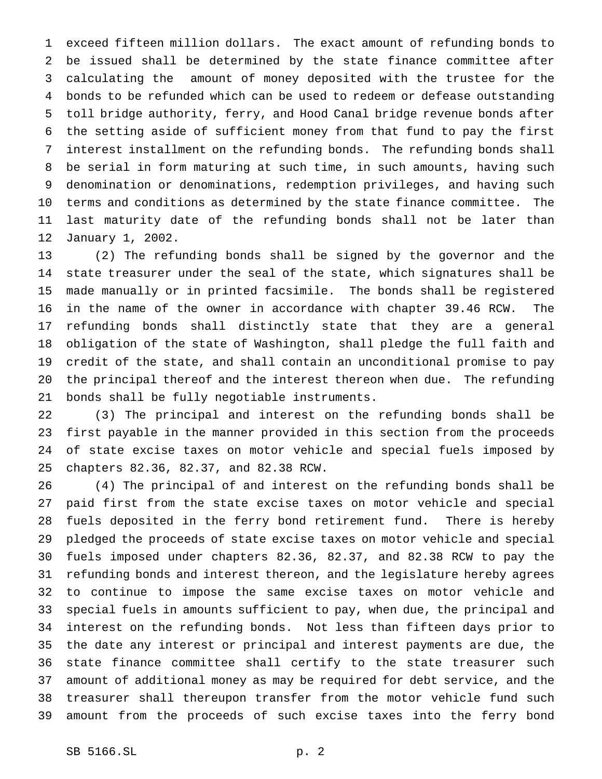exceed fifteen million dollars. The exact amount of refunding bonds to be issued shall be determined by the state finance committee after calculating the amount of money deposited with the trustee for the bonds to be refunded which can be used to redeem or defease outstanding toll bridge authority, ferry, and Hood Canal bridge revenue bonds after the setting aside of sufficient money from that fund to pay the first interest installment on the refunding bonds. The refunding bonds shall be serial in form maturing at such time, in such amounts, having such denomination or denominations, redemption privileges, and having such terms and conditions as determined by the state finance committee. The last maturity date of the refunding bonds shall not be later than January 1, 2002.

 (2) The refunding bonds shall be signed by the governor and the state treasurer under the seal of the state, which signatures shall be made manually or in printed facsimile. The bonds shall be registered in the name of the owner in accordance with chapter 39.46 RCW. The refunding bonds shall distinctly state that they are a general obligation of the state of Washington, shall pledge the full faith and credit of the state, and shall contain an unconditional promise to pay the principal thereof and the interest thereon when due. The refunding bonds shall be fully negotiable instruments.

 (3) The principal and interest on the refunding bonds shall be first payable in the manner provided in this section from the proceeds of state excise taxes on motor vehicle and special fuels imposed by chapters 82.36, 82.37, and 82.38 RCW.

 (4) The principal of and interest on the refunding bonds shall be paid first from the state excise taxes on motor vehicle and special fuels deposited in the ferry bond retirement fund. There is hereby pledged the proceeds of state excise taxes on motor vehicle and special fuels imposed under chapters 82.36, 82.37, and 82.38 RCW to pay the refunding bonds and interest thereon, and the legislature hereby agrees to continue to impose the same excise taxes on motor vehicle and special fuels in amounts sufficient to pay, when due, the principal and interest on the refunding bonds. Not less than fifteen days prior to the date any interest or principal and interest payments are due, the state finance committee shall certify to the state treasurer such amount of additional money as may be required for debt service, and the treasurer shall thereupon transfer from the motor vehicle fund such amount from the proceeds of such excise taxes into the ferry bond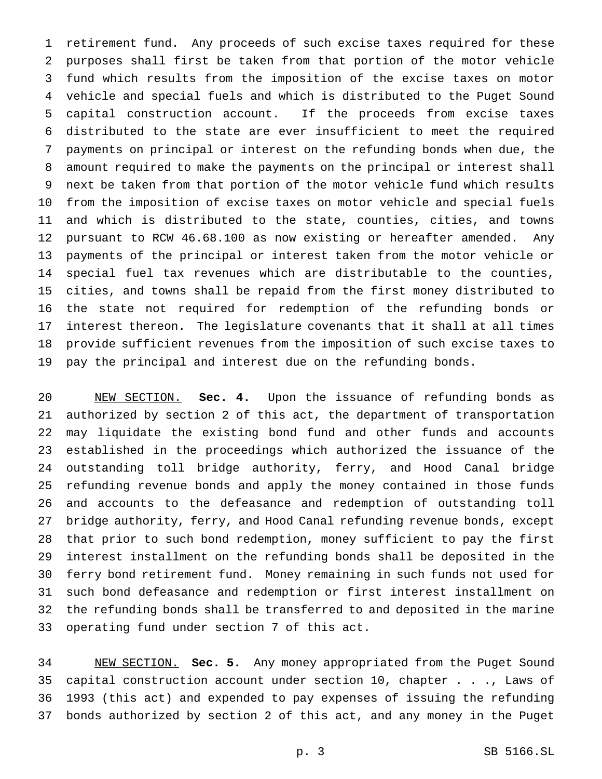retirement fund. Any proceeds of such excise taxes required for these purposes shall first be taken from that portion of the motor vehicle fund which results from the imposition of the excise taxes on motor vehicle and special fuels and which is distributed to the Puget Sound capital construction account. If the proceeds from excise taxes distributed to the state are ever insufficient to meet the required payments on principal or interest on the refunding bonds when due, the amount required to make the payments on the principal or interest shall next be taken from that portion of the motor vehicle fund which results from the imposition of excise taxes on motor vehicle and special fuels and which is distributed to the state, counties, cities, and towns pursuant to RCW 46.68.100 as now existing or hereafter amended. Any payments of the principal or interest taken from the motor vehicle or special fuel tax revenues which are distributable to the counties, cities, and towns shall be repaid from the first money distributed to the state not required for redemption of the refunding bonds or interest thereon. The legislature covenants that it shall at all times provide sufficient revenues from the imposition of such excise taxes to pay the principal and interest due on the refunding bonds.

 NEW SECTION. **Sec. 4.** Upon the issuance of refunding bonds as authorized by section 2 of this act, the department of transportation may liquidate the existing bond fund and other funds and accounts established in the proceedings which authorized the issuance of the outstanding toll bridge authority, ferry, and Hood Canal bridge refunding revenue bonds and apply the money contained in those funds and accounts to the defeasance and redemption of outstanding toll bridge authority, ferry, and Hood Canal refunding revenue bonds, except that prior to such bond redemption, money sufficient to pay the first interest installment on the refunding bonds shall be deposited in the ferry bond retirement fund. Money remaining in such funds not used for such bond defeasance and redemption or first interest installment on the refunding bonds shall be transferred to and deposited in the marine operating fund under section 7 of this act.

 NEW SECTION. **Sec. 5.** Any money appropriated from the Puget Sound capital construction account under section 10, chapter . . ., Laws of 1993 (this act) and expended to pay expenses of issuing the refunding bonds authorized by section 2 of this act, and any money in the Puget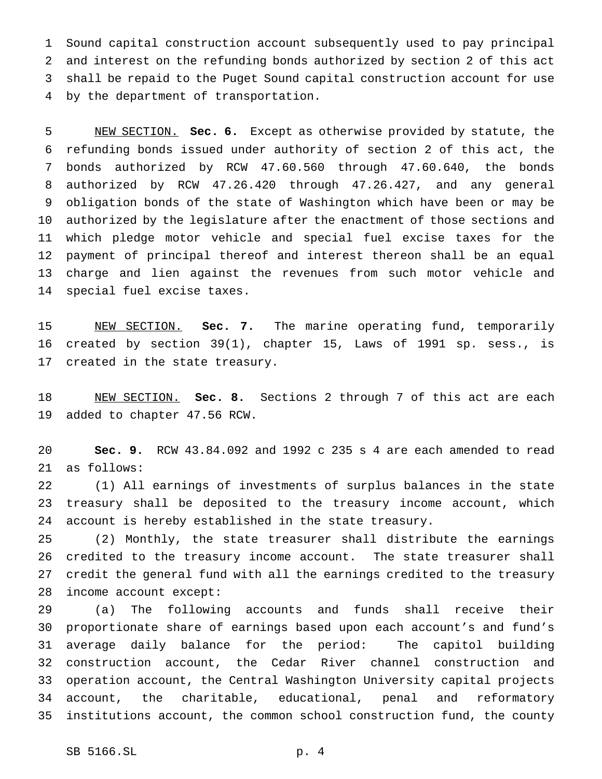Sound capital construction account subsequently used to pay principal and interest on the refunding bonds authorized by section 2 of this act shall be repaid to the Puget Sound capital construction account for use by the department of transportation.

 NEW SECTION. **Sec. 6.** Except as otherwise provided by statute, the refunding bonds issued under authority of section 2 of this act, the bonds authorized by RCW 47.60.560 through 47.60.640, the bonds authorized by RCW 47.26.420 through 47.26.427, and any general obligation bonds of the state of Washington which have been or may be authorized by the legislature after the enactment of those sections and which pledge motor vehicle and special fuel excise taxes for the payment of principal thereof and interest thereon shall be an equal charge and lien against the revenues from such motor vehicle and special fuel excise taxes.

 NEW SECTION. **Sec. 7.** The marine operating fund, temporarily created by section 39(1), chapter 15, Laws of 1991 sp. sess., is created in the state treasury.

 NEW SECTION. **Sec. 8.** Sections 2 through 7 of this act are each added to chapter 47.56 RCW.

 **Sec. 9.** RCW 43.84.092 and 1992 c 235 s 4 are each amended to read as follows:

 (1) All earnings of investments of surplus balances in the state treasury shall be deposited to the treasury income account, which account is hereby established in the state treasury.

 (2) Monthly, the state treasurer shall distribute the earnings credited to the treasury income account. The state treasurer shall credit the general fund with all the earnings credited to the treasury income account except:

 (a) The following accounts and funds shall receive their proportionate share of earnings based upon each account's and fund's average daily balance for the period: The capitol building construction account, the Cedar River channel construction and operation account, the Central Washington University capital projects account, the charitable, educational, penal and reformatory institutions account, the common school construction fund, the county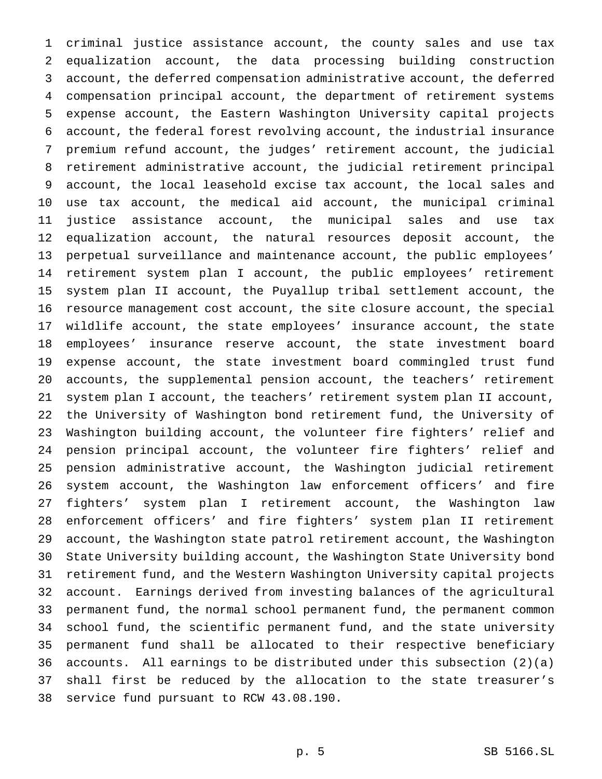criminal justice assistance account, the county sales and use tax equalization account, the data processing building construction account, the deferred compensation administrative account, the deferred compensation principal account, the department of retirement systems expense account, the Eastern Washington University capital projects account, the federal forest revolving account, the industrial insurance premium refund account, the judges' retirement account, the judicial retirement administrative account, the judicial retirement principal account, the local leasehold excise tax account, the local sales and use tax account, the medical aid account, the municipal criminal justice assistance account, the municipal sales and use tax equalization account, the natural resources deposit account, the perpetual surveillance and maintenance account, the public employees' retirement system plan I account, the public employees' retirement system plan II account, the Puyallup tribal settlement account, the resource management cost account, the site closure account, the special wildlife account, the state employees' insurance account, the state employees' insurance reserve account, the state investment board expense account, the state investment board commingled trust fund accounts, the supplemental pension account, the teachers' retirement system plan I account, the teachers' retirement system plan II account, the University of Washington bond retirement fund, the University of Washington building account, the volunteer fire fighters' relief and pension principal account, the volunteer fire fighters' relief and pension administrative account, the Washington judicial retirement system account, the Washington law enforcement officers' and fire fighters' system plan I retirement account, the Washington law enforcement officers' and fire fighters' system plan II retirement account, the Washington state patrol retirement account, the Washington State University building account, the Washington State University bond retirement fund, and the Western Washington University capital projects account. Earnings derived from investing balances of the agricultural permanent fund, the normal school permanent fund, the permanent common school fund, the scientific permanent fund, and the state university permanent fund shall be allocated to their respective beneficiary accounts. All earnings to be distributed under this subsection (2)(a) shall first be reduced by the allocation to the state treasurer's service fund pursuant to RCW 43.08.190.